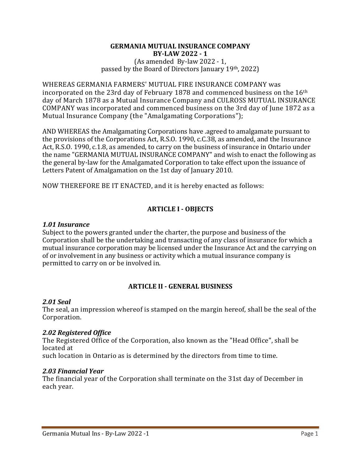#### GERMANIA MUTUAL INSURANCE COMPANY BY-LAW 2022 - 1 (As amended By-law 2022 - 1, passed by the Board of Directors January 19th, 2022)

WHEREAS GERMANIA FARMERS' MUTUAL FIRE INSURANCE COMPANY was incorporated on the 23rd day of February 1878 and commenced business on the 16<sup>th</sup> day of March 1878 as a Mutual Insurance Company and CULROSS MUTUAL INSURANCE COMPANY was incorporated and commenced business on the 3rd day of June 1872 as a Mutual Insurance Company (the "Amalgamating Corporations");

AND WHEREAS the Amalgamating Corporations have .agreed to amalgamate pursuant to the provisions of the Corporations Act, R.S.O. 1990, c.C.38, as amended, and the Insurance Act, R.S.O. 1990, c.1.8, as amended, to carry on the business of insurance in Ontario under the name "GERMANIA MUTUAL INSURANCE COMPANY" and wish to enact the following as the general by-law for the Amalgamated Corporation to take effect upon the issuance of Letters Patent of Amalgamation on the 1st day of January 2010.

NOW THEREFORE BE IT ENACTED, and it is hereby enacted as follows:

# ARTICLE I - OBJECTS

#### 1.01 Insurance

Subject to the powers granted under the charter, the purpose and business of the Corporation shall be the undertaking and transacting of any class of insurance for which a mutual insurance corporation may be licensed under the Insurance Act and the carrying on of or involvement in any business or activity which a mutual insurance company is permitted to carry on or be involved in.

## ARTICLE II - GENERAL BUSINESS

#### 2.01 Seal

The seal, an impression whereof is stamped on the margin hereof, shall be the seal of the Corporation.

#### 2.02 Registered Office

The Registered Office of the Corporation, also known as the "Head Office", shall be located at

such location in Ontario as is determined by the directors from time to time.

#### 2.03 Financial Year

The financial year of the Corporation shall terminate on the 31st day of December in each year.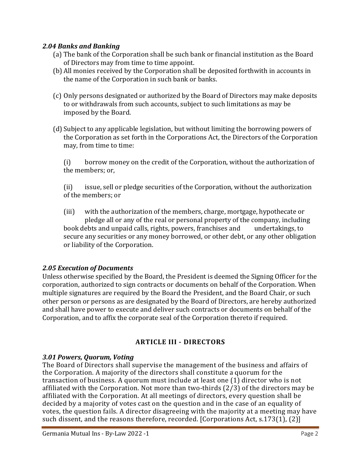## 2.04 Banks and Banking

- (a) The bank of the Corporation shall be such bank or financial institution as the Board of Directors may from time to time appoint.
- (b) All monies received by the Corporation shall be deposited forthwith in accounts in the name of the Corporation in such bank or banks.
- (c) Only persons designated or authorized by the Board of Directors may make deposits to or withdrawals from such accounts, subject to such limitations as may be imposed by the Board.
- (d) Subject to any applicable legislation, but without limiting the borrowing powers of the Corporation as set forth in the Corporations Act, the Directors of the Corporation may, from time to time:

(i) borrow money on the credit of the Corporation, without the authorization of the members; or,

(ii) issue, sell or pledge securities of the Corporation, without the authorization of the members; or

(iii) with the authorization of the members, charge, mortgage, hypothecate or pledge all or any of the real or personal property of the company, including book debts and unpaid calls, rights, powers, franchises and undertakings, to secure any securities or any money borrowed, or other debt, or any other obligation or liability of the Corporation.

# 2.05 Execution of Documents

Unless otherwise specified by the Board, the President is deemed the Signing Officer for the corporation, authorized to sign contracts or documents on behalf of the Corporation. When multiple signatures are required by the Board the President, and the Board Chair, or such other person or persons as are designated by the Board of Directors, are hereby authorized and shall have power to execute and deliver such contracts or documents on behalf of the Corporation, and to affix the corporate seal of the Corporation thereto if required.

# ARTICLE III - DIRECTORS

# 3.01 Powers, Quorum, Voting

The Board of Directors shall supervise the management of the business and affairs of the Corporation. A majority of the directors shall constitute a quorum for the transaction of business. A quorum must include at least one (1) director who is not affiliated with the Corporation. Not more than two-thirds (2/3) of the directors may be affiliated with the Corporation. At all meetings of directors, every question shall be decided by a majority of votes cast on the question and in the case of an equality of votes, the question fails. A director disagreeing with the majority at a meeting may have such dissent, and the reasons therefore, recorded. [Corporations Act, s.173(1), (2)]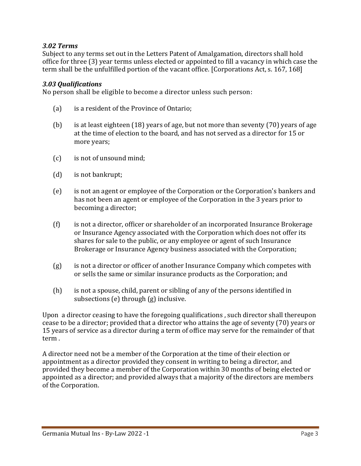## 3.02 Terms

Subject to any terms set out in the Letters Patent of Amalgamation, directors shall hold office for three (3) year terms unless elected or appointed to fill a vacancy in which case the term shall be the unfulfilled portion of the vacant office. [Corporations Act, s. 167, 168]

## 3.03 Qualifications

No person shall be eligible to become a director unless such person:

- (a) is a resident of the Province of Ontario;
- (b) is at least eighteen (18) years of age, but not more than seventy (70) years of age at the time of election to the board, and has not served as a director for 15 or more years;
- (c) is not of unsound mind;
- (d) is not bankrupt;
- (e) is not an agent or employee of the Corporation or the Corporation's bankers and has not been an agent or employee of the Corporation in the 3 years prior to becoming a director;
- (f) is not a director, officer or shareholder of an incorporated Insurance Brokerage or Insurance Agency associated with the Corporation which does not offer its shares for sale to the public, or any employee or agent of such Insurance Brokerage or Insurance Agency business associated with the Corporation;
- (g) is not a director or officer of another Insurance Company which competes with or sells the same or similar insurance products as the Corporation; and
- (h) is not a spouse, child, parent or sibling of any of the persons identified in subsections (e) through (g) inclusive.

Upon a director ceasing to have the foregoing qualifications , such director shall thereupon cease to be a director; provided that a director who attains the age of seventy (70) years or 15 years of service as a director during a term of office may serve for the remainder of that term .

A director need not be a member of the Corporation at the time of their election or appointment as a director provided they consent in writing to being a director, and provided they become a member of the Corporation within 30 months of being elected or appointed as a director; and provided always that a majority of the directors are members of the Corporation.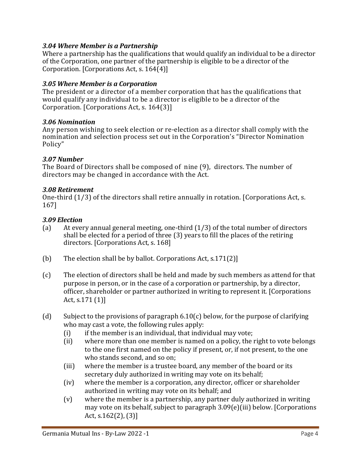# 3.04 Where Member is a Partnership

Where a partnership has the qualifications that would qualify an individual to be a director of the Corporation, one partner of the partnership is eligible to be a director of the Corporation. [Corporations Act, s. 164(4)]

## 3.05 Where Member is a Corporation

The president or a director of a member corporation that has the qualifications that would qualify any individual to be a director is eligible to be a director of the Corporation. [Corporations Act, s. 164(3)]

## 3.06 Nomination

Any person wishing to seek election or re-election as a director shall comply with the nomination and selection process set out in the Corporation's "Director Nomination Policy"

## 3.07 Number

The Board of Directors shall be composed of nine (9), directors. The number of directors may be changed in accordance with the Act.

## 3.08 Retirement

One-third (1/3) of the directors shall retire annually in rotation. [Corporations Act, s. 167]

## 3.09 Election

- (a) At every annual general meeting, one-third (1/3) of the total number of directors shall be elected for a period of three (3) years to fill the places of the retiring directors. [Corporations Act, s. 168]
- (b) The election shall be by ballot. Corporations Act, s.171(2)]
- (c) The election of directors shall be held and made by such members as attend for that purpose in person, or in the case of a corporation or partnership, by a director, officer, shareholder or partner authorized in writing to represent it. [Corporations Act, s.171 (1)]
- (d) Subject to the provisions of paragraph 6.10(c) below, for the purpose of clarifying who may cast a vote, the following rules apply:
	- (i) if the member is an individual, that individual may vote;
	- (ii) where more than one member is named on a policy, the right to vote belongs to the one first named on the policy if present, or, if not present, to the one who stands second, and so on;
	- (iii) where the member is a trustee board, any member of the board or its secretary duly authorized in writing may vote on its behalf;
	- (iv) where the member is a corporation, any director, officer or shareholder authorized in writing may vote on its behalf; and
	- (v) where the member is a partnership, any partner duly authorized in writing may vote on its behalf, subject to paragraph 3.09(e)(iii) below. [Corporations Act, s.162(2), (3)]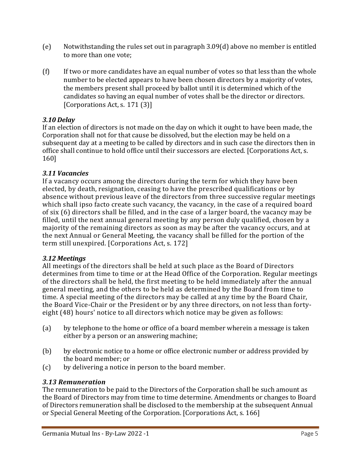- (e) Notwithstanding the rules set out in paragraph 3.09(d) above no member is entitled to more than one vote;
- (f) If two or more candidates have an equal number of votes so that less than the whole number to be elected appears to have been chosen directors by a majority of votes, the members present shall proceed by ballot until it is determined which of the candidates so having an equal number of votes shall be the director or directors. [Corporations Act, s. 171 (3)]

# 3.10 Delay

If an election of directors is not made on the day on which it ought to have been made, the Corporation shall not for that cause be dissolved, but the election may be held on a subsequent day at a meeting to be called by directors and in such case the directors then in office shall continue to hold office until their successors are elected. [Corporations Act, s. 160]

# 3.11 Vacancies

If a vacancy occurs among the directors during the term for which they have been elected, by death, resignation, ceasing to have the prescribed qualifications or by absence without previous leave of the directors from three successive regular meetings which shall ipso facto create such vacancy, the vacancy, in the case of a required board of six (6) directors shall be filled, and in the case of a larger board, the vacancy may be filled, until the next annual general meeting by any person duly qualified, chosen by a majority of the remaining directors as soon as may be after the vacancy occurs, and at the next Annual or General Meeting, the vacancy shall be filled for the portion of the term still unexpired. [Corporations Act, s. 172]

# 3.12 Meetings

All meetings of the directors shall be held at such place as the Board of Directors determines from time to time or at the Head Office of the Corporation. Regular meetings of the directors shall be held, the first meeting to be held immediately after the annual general meeting, and the others to be held as determined by the Board from time to time. A special meeting of the directors may be called at any time by the Board Chair, the Board Vice-Chair or the President or by any three directors, on not less than fortyeight (48) hours' notice to all directors which notice may be given as follows:

- (a) by telephone to the home or office of a board member wherein a message is taken either by a person or an answering machine;
- (b) by electronic notice to a home or office electronic number or address provided by the board member; or
- (c) by delivering a notice in person to the board member.

# 3.13 Remuneration

The remuneration to be paid to the Directors of the Corporation shall be such amount as the Board of Directors may from time to time determine. Amendments or changes to Board of Directors remuneration shall be disclosed to the membership at the subsequent Annual or Special General Meeting of the Corporation. [Corporations Act, s. 166]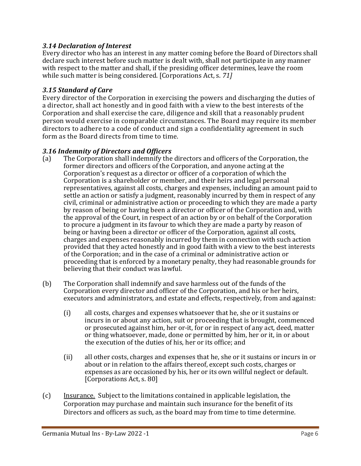# 3.14 Declaration of Interest

Every director who has an interest in any matter coming before the Board of Directors shall declare such interest before such matter is dealt with, shall not participate in any manner with respect to the matter and shall, if the presiding officer determines, leave the room while such matter is being considered. [Corporations Act, s. 71]

## 3.15 Standard of Care

Every director of the Corporation in exercising the powers and discharging the duties of a director, shall act honestly and in good faith with a view to the best interests of the Corporation and shall exercise the care, diligence and skill that a reasonably prudent person would exercise in comparable circumstances. The Board may require its member directors to adhere to a code of conduct and sign a confidentiality agreement in such form as the Board directs from time to time.

## 3.16 Indemnity of Directors and Officers

- (a) The Corporation shall indemnify the directors and officers of the Corporation, the former directors and officers of the Corporation, and anyone acting at the Corporation's request as a director or officer of a corporation of which the Corporation is a shareholder or member, and their heirs and legal personal representatives, against all costs, charges and expenses, including an amount paid to settle an action or satisfy a judgment, reasonably incurred by them in respect of any civil, criminal or administrative action or proceeding to which they are made a party by reason of being or having been a director or officer of the Corporation and, with the approval of the Court, in respect of an action by or on behalf of the Corporation to procure a judgment in its favour to which they are made a party by reason of being or having been a director or officer of the Corporation, against all costs, charges and expenses reasonably incurred by them in connection with such action provided that they acted honestly and in good faith with a view to the best interests of the Corporation; and in the case of a criminal or administrative action or proceeding that is enforced by a monetary penalty, they had reasonable grounds for believing that their conduct was lawful.
- (b) The Corporation shall indemnify and save harmless out of the funds of the Corporation every director and officer of the Corporation, and his or her heirs, executors and administrators, and estate and effects, respectively, from and against:
	- (i) all costs, charges and expenses whatsoever that he, she or it sustains or incurs in or about any action, suit or proceeding that is brought, commenced or prosecuted against him, her or-it, for or in respect of any act, deed, matter or thing whatsoever, made, done or permitted by him, her or it, in or about the execution of the duties of his, her or its office; and
	- (ii) all other costs, charges and expenses that he, she or it sustains or incurs in or about or in relation to the affairs thereof, except such costs, charges or expenses as are occasioned by his, her or its own willful neglect or default. [Corporations Act, s. 80]
- (c) Insurance. Subject to the limitations contained in applicable legislation, the Corporation may purchase and maintain such insurance for the benefit of its Directors and officers as such, as the board may from time to time determine.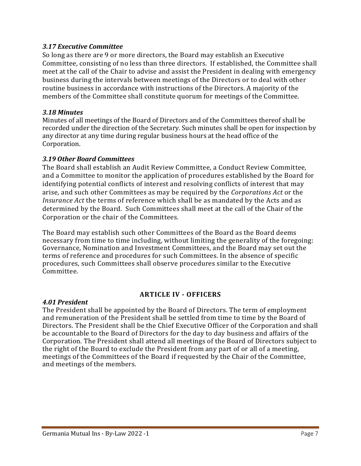## 3.17 Executive Committee

So long as there are 9 or more directors, the Board may establish an Executive Committee, consisting of no less than three directors. If established, the Committee shall meet at the call of the Chair to advise and assist the President in dealing with emergency business during the intervals between meetings of the Directors or to deal with other routine business in accordance with instructions of the Directors. A majority of the members of the Committee shall constitute quorum for meetings of the Committee.

## 3.18 Minutes

Minutes of all meetings of the Board of Directors and of the Committees thereof shall be recorded under the direction of the Secretary. Such minutes shall be open for inspection by any director at any time during regular business hours at the head office of the Corporation.

## 3.19 Other Board Committees

The Board shall establish an Audit Review Committee, a Conduct Review Committee, and a Committee to monitor the application of procedures established by the Board for identifying potential conflicts of interest and resolving conflicts of interest that may arise, and such other Committees as may be required by the Corporations Act or the Insurance Act the terms of reference which shall be as mandated by the Acts and as determined by the Board. Such Committees shall meet at the call of the Chair of the Corporation or the chair of the Committees.

The Board may establish such other Committees of the Board as the Board deems necessary from time to time including, without limiting the generality of the foregoing: Governance, Nomination and Investment Committees, and the Board may set out the terms of reference and procedures for such Committees. In the absence of specific procedures, such Committees shall observe procedures similar to the Executive Committee.

## ARTICLE IV - OFFICERS

## 4.01 President

The President shall be appointed by the Board of Directors. The term of employment and remuneration of the President shall be settled from time to time by the Board of Directors. The President shall be the Chief Executive Officer of the Corporation and shall be accountable to the Board of Directors for the day to day business and affairs of the Corporation. The President shall attend all meetings of the Board of Directors subject to the right of the Board to exclude the President from any part of or all of a meeting, meetings of the Committees of the Board if requested by the Chair of the Committee, and meetings of the members.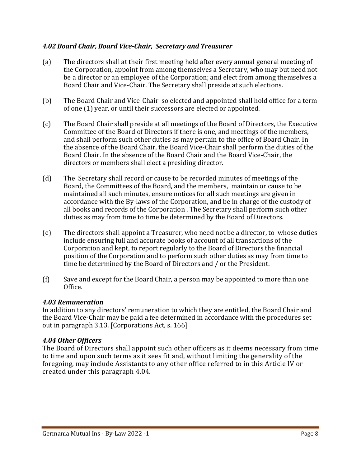## 4.02 Board Chair, Board Vice-Chair, Secretary and Treasurer

- (a) The directors shall at their first meeting held after every annual general meeting of the Corporation, appoint from among themselves a Secretary, who may but need not be a director or an employee of the Corporation; and elect from among themselves a Board Chair and Vice-Chair. The Secretary shall preside at such elections.
- (b) The Board Chair and Vice-Chair so elected and appointed shall hold office for a term of one (1) year, or until their successors are elected or appointed.
- (c) The Board Chair shall preside at all meetings of the Board of Directors, the Executive Committee of the Board of Directors if there is one, and meetings of the members, and shall perform such other duties as may pertain to the office of Board Chair. In the absence of the Board Chair, the Board Vice-Chair shall perform the duties of the Board Chair. In the absence of the Board Chair and the Board Vice-Chair, the directors or members shall elect a presiding director.
- (d) The Secretary shall record or cause to be recorded minutes of meetings of the Board, the Committees of the Board, and the members, maintain or cause to be maintained all such minutes, ensure notices for all such meetings are given in accordance with the By-laws of the Corporation, and be in charge of the custody of all books and records of the Corporation . The Secretary shall perform such other duties as may from time to time be determined by the Board of Directors.
- (e) The directors shall appoint a Treasurer, who need not be a director, to whose duties include ensuring full and accurate books of account of all transactions of the Corporation and kept, to report regularly to the Board of Directors the financial position of the Corporation and to perform such other duties as may from time to time be determined by the Board of Directors and / or the President.
- (f) Save and except for the Board Chair, a person may be appointed to more than one Office.

## 4.03 Remuneration

In addition to any directors' remuneration to which they are entitled, the Board Chair and the Board Vice-Chair may be paid a fee determined in accordance with the procedures set out in paragraph 3.13. [Corporations Act, s. 166]

## 4.04 Other Officers

The Board of Directors shall appoint such other officers as it deems necessary from time to time and upon such terms as it sees fit and, without limiting the generality of the foregoing, may include Assistants to any other office referred to in this Article IV or created under this paragraph 4.04.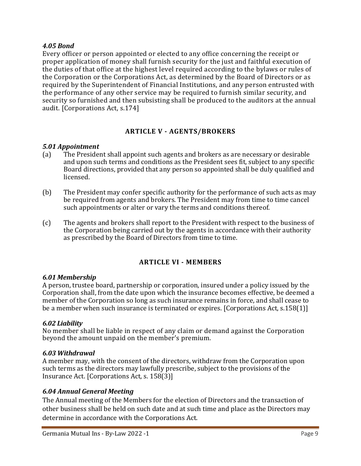## 4.05 Bond

Every officer or person appointed or elected to any office concerning the receipt or proper application of money shall furnish security for the just and faithful execution of the duties of that office at the highest level required according to the bylaws or rules of the Corporation or the Corporations Act, as determined by the Board of Directors or as required by the Superintendent of Financial Institutions, and any person entrusted with the performance of any other service may be required to furnish similar security, and security so furnished and then subsisting shall be produced to the auditors at the annual audit. [Corporations Act, s.174]

## ARTICLE V - AGENTS/BROKERS

## 5.01 Appointment

- (a) The President shall appoint such agents and brokers as are necessary or desirable and upon such terms and conditions as the President sees fit, subject to any specific Board directions, provided that any person so appointed shall be duly qualified and licensed.
- (b) The President may confer specific authority for the performance of such acts as may be required from agents and brokers. The President may from time to time cancel such appointments or alter or vary the terms and conditions thereof.
- (c) The agents and brokers shall report to the President with respect to the business of the Corporation being carried out by the agents in accordance with their authority as prescribed by the Board of Directors from time to time.

# ARTICLE VI - MEMBERS

#### 6.01 Membership

A person, trustee board, partnership or corporation, insured under a policy issued by the Corporation shall, from the date upon which the insurance becomes effective, be deemed a member of the Corporation so long as such insurance remains in force, and shall cease to be a member when such insurance is terminated or expires. [Corporations Act, s.158(1)]

#### 6.02 Liability

No member shall be liable in respect of any claim or demand against the Corporation beyond the amount unpaid on the member's premium.

#### 6.03 Withdrawal

A member may, with the consent of the directors, withdraw from the Corporation upon such terms as the directors may lawfully prescribe, subject to the provisions of the Insurance Act. [Corporations Act, s. 158(3)]

## 6.04 Annual General Meeting

The Annual meeting of the Members for the election of Directors and the transaction of other business shall be held on such date and at such time and place as the Directors may determine in accordance with the Corporations Act.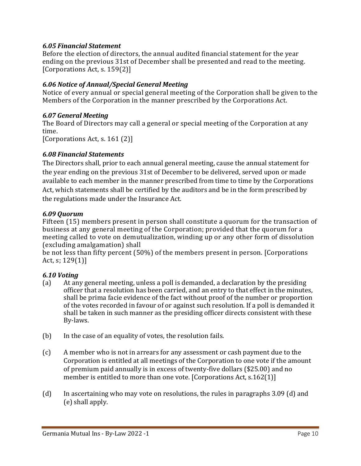## 6.05 Financial Statement

Before the election of directors, the annual audited financial statement for the year ending on the previous 31st of December shall be presented and read to the meeting. [Corporations Act, s. 159(2)]

## 6.06 Notice of Annual/Special General Meeting

Notice of every annual or special general meeting of the Corporation shall be given to the Members of the Corporation in the manner prescribed by the Corporations Act.

## 6.07 General Meeting

The Board of Directors may call a general or special meeting of the Corporation at any time.

[Corporations Act, s. 161 (2)]

## 6.08 Financial Statements

The Directors shall, prior to each annual general meeting, cause the annual statement for the year ending on the previous 31st of December to be delivered, served upon or made available to each member in the manner prescribed from time to time by the Corporations Act, which statements shall be certified by the auditors and be in the form prescribed by the regulations made under the Insurance Act.

#### 6.09 Quorum

Fifteen (15) members present in person shall constitute a quorum for the transaction of business at any general meeting of the Corporation; provided that the quorum for a meeting called to vote on demutualization, winding up or any other form of dissolution (excluding amalgamation) shall

be not less than fifty percent (50%) of the members present in person. [Corporations Act, s; 129(1)]

## 6.10 Voting

- (a) At any general meeting, unless a poll is demanded, a declaration by the presiding officer that a resolution has been carried, and an entry to that effect in the minutes, shall be prima facie evidence of the fact without proof of the number or proportion of the votes recorded in favour of or against such resolution. If a poll is demanded it shall be taken in such manner as the presiding officer directs consistent with these By-laws.
- (b) In the case of an equality of votes, the resolution fails.
- (c) A member who is not in arrears for any assessment or cash payment due to the Corporation is entitled at all meetings of the Corporation to one vote if the amount of premium paid annually is in excess of twenty-five dollars (\$25.00) and no member is entitled to more than one vote. [Corporations Act, s.162(1)]
- (d) In ascertaining who may vote on resolutions, the rules in paragraphs 3.09 (d) and (e) shall apply.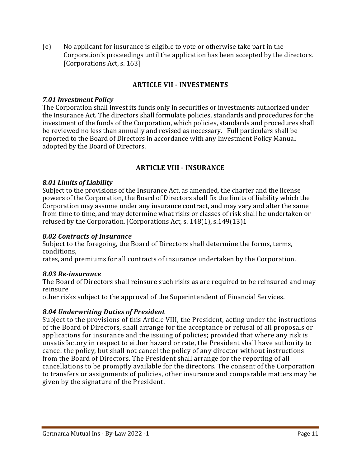(e) No applicant for insurance is eligible to vote or otherwise take part in the Corporation's proceedings until the application has been accepted by the directors. [Corporations Act, s. 163]

# ARTICLE VII - INVESTMENTS

#### 7.01 Investment Policy

The Corporation shall invest its funds only in securities or investments authorized under the Insurance Act. The directors shall formulate policies, standards and procedures for the investment of the funds of the Corporation, which policies, standards and procedures shall be reviewed no less than annually and revised as necessary. Full particulars shall be reported to the Board of Directors in accordance with any Investment Policy Manual adopted by the Board of Directors.

## ARTICLE VIII - INSURANCE

#### 8.01 Limits of Liability

Subject to the provisions of the Insurance Act, as amended, the charter and the license powers of the Corporation, the Board of Directors shall fix the limits of liability which the Corporation may assume under any insurance contract, and may vary and alter the same from time to time, and may determine what risks or classes of risk shall be undertaken or refused by the Corporation. [Corporations Act, s. 148(1), s.149(13)1

### 8.02 Contracts of Insurance

Subject to the foregoing, the Board of Directors shall determine the forms, terms, conditions,

rates, and premiums for all contracts of insurance undertaken by the Corporation.

## 8.03 Re-insurance

The Board of Directors shall reinsure such risks as are required to be reinsured and may reinsure

other risks subject to the approval of the Superintendent of Financial Services.

## 8.04 Underwriting Duties of President

Subject to the provisions of this Article VIII, the President, acting under the instructions of the Board of Directors, shall arrange for the acceptance or refusal of all proposals or applications for insurance and the issuing of policies; provided that where any risk is unsatisfactory in respect to either hazard or rate, the President shall have authority to cancel the policy, but shall not cancel the policy of any director without instructions from the Board of Directors. The President shall arrange for the reporting of all cancellations to be promptly available for the directors. The consent of the Corporation to transfers or assignments of policies, other insurance and comparable matters may be given by the signature of the President.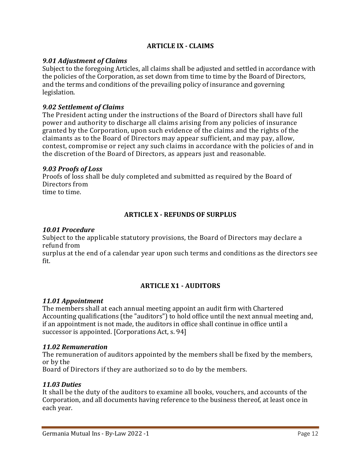## ARTICLE IX - CLAIMS

## 9.01 Adjustment of Claims

Subject to the foregoing Articles, all claims shall be adjusted and settled in accordance with the policies of the Corporation, as set down from time to time by the Board of Directors, and the terms and conditions of the prevailing policy of insurance and governing legislation.

#### 9.02 Settlement of Claims

The President acting under the instructions of the Board of Directors shall have full power and authority to discharge all claims arising from any policies of insurance granted by the Corporation, upon such evidence of the claims and the rights of the claimants as to the Board of Directors may appear sufficient, and may pay, allow, contest, compromise or reject any such claims in accordance with the policies of and in the discretion of the Board of Directors, as appears just and reasonable.

#### 9.03 Proofs of Loss

Proofs of loss shall be duly completed and submitted as required by the Board of Directors from time to time.

## ARTICLE X - REFUNDS OF SURPLUS

#### 10.01 Procedure

Subject to the applicable statutory provisions, the Board of Directors may declare a refund from

surplus at the end of a calendar year upon such terms and conditions as the directors see fit.

## ARTICLE X1 - AUDITORS

#### 11.01 Appointment

The members shall at each annual meeting appoint an audit firm with Chartered Accounting qualifications (the "auditors") to hold office until the next annual meeting and, if an appointment is not made, the auditors in office shall continue in office until a successor is appointed. [Corporations Act, s. 94]

#### 11.02 Remuneration

The remuneration of auditors appointed by the members shall be fixed by the members, or by the

Board of Directors if they are authorized so to do by the members.

## 11.03 Duties

It shall be the duty of the auditors to examine all books, vouchers, and accounts of the Corporation, and all documents having reference to the business thereof, at least once in each year.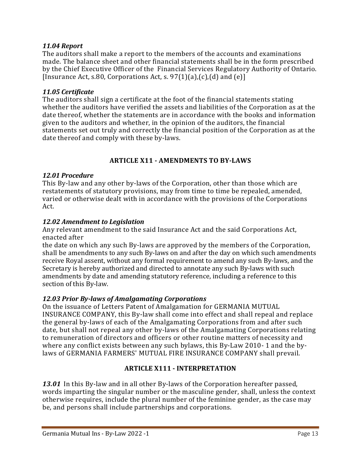## 11.04 Report

The auditors shall make a report to the members of the accounts and examinations made. The balance sheet and other financial statements shall be in the form prescribed by the Chief Executive Officer of the Financial Services Regulatory Authority of Ontario. [Insurance Act, s.80, Corporations Act, s.  $97(1)(a)$ , $(c)$ , $(d)$  and  $(e)$ ]

## 11.05 Certificate

The auditors shall sign a certificate at the foot of the financial statements stating whether the auditors have verified the assets and liabilities of the Corporation as at the date thereof, whether the statements are in accordance with the books and information given to the auditors and whether, in the opinion of the auditors, the financial statements set out truly and correctly the financial position of the Corporation as at the date thereof and comply with these by-laws.

# ARTICLE X11 - AMENDMENTS TO BY-LAWS

## 12.01 Procedure

This By-law and any other by-laws of the Corporation, other than those which are restatements of statutory provisions, may from time to time be repealed, amended, varied or otherwise dealt with in accordance with the provisions of the Corporations Act.

## 12.02 Amendment to Legislation

Any relevant amendment to the said Insurance Act and the said Corporations Act, enacted after

the date on which any such By-laws are approved by the members of the Corporation, shall be amendments to any such By-laws on and after the day on which such amendments receive Royal assent, without any formal requirement to amend any such By-laws, and the Secretary is hereby authorized and directed to annotate any such By-laws with such amendments by date and amending statutory reference, including a reference to this section of this By-law.

# 12.03 Prior By-laws of Amalgamating Corporations

On the issuance of Letters Patent of Amalgamation for GERMANIA MUTUAL INSURANCE COMPANY, this By-law shall come into effect and shall repeal and replace the general by-laws of each of the Amalgamating Corporations from and after such date, but shall not repeal any other by-laws of the Amalgamating Corporations relating to remuneration of directors and officers or other routine matters of necessity and where any conflict exists between any such bylaws, this By-Law 2010- 1 and the bylaws of GERMANIA FARMERS' MUTUAL FIRE INSURANCE COMPANY shall prevail.

# ARTICLE X111 - INTERPRETATION

13.01 In this By-law and in all other By-laws of the Corporation hereafter passed, words imparting the singular number or the masculine gender, shall, unless the context otherwise requires, include the plural number of the feminine gender, as the case may be, and persons shall include partnerships and corporations.